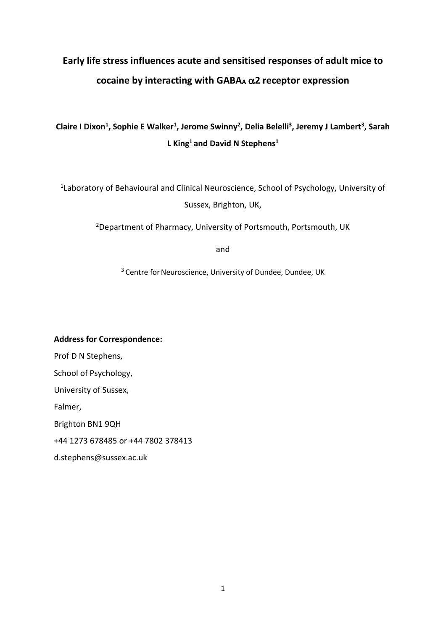# **Early life stress influences acute and sensitised responses of adult mice to cocaine by interacting with GABAA** α**2 receptor expression**

## Claire I Dixon<sup>1</sup>, Sophie E Walker<sup>1</sup>, Jerome Swinny<sup>2</sup>, Delia Belelli<sup>3</sup>, Jeremy J Lambert<sup>3</sup>, Sarah **L King1 and David N Stephens1**

1Laboratory of Behavioural and Clinical Neuroscience, School of Psychology, University of Sussex, Brighton, UK,

2Department of Pharmacy, University of Portsmouth, Portsmouth, UK

and

<sup>3</sup> Centre for Neuroscience, University of Dundee, Dundee, UK

**Address for Correspondence:** Prof D N Stephens, School of Psychology, University of Sussex, Falmer, Brighton BN1 9QH +44 1273 678485 or +44 7802 378413 d.stephens@sussex.ac.uk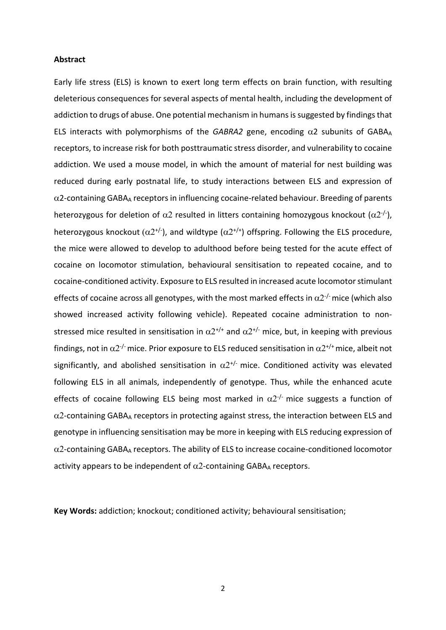#### **Abstract**

Early life stress (ELS) is known to exert long term effects on brain function, with resulting deleterious consequences for several aspects of mental health, including the development of addiction to drugs of abuse. One potential mechanism in humans is suggested by findings that ELS interacts with polymorphisms of the *GABRA2* gene, encoding  $\alpha$ 2 subunits of GABA<sub>A</sub> receptors, to increase risk for both posttraumatic stress disorder, and vulnerability to cocaine addiction. We used a mouse model, in which the amount of material for nest building was reduced during early postnatal life, to study interactions between ELS and expression of  $\alpha$ 2-containing GABA<sub>A</sub> receptors in influencing cocaine-related behaviour. Breeding of parents heterozygous for deletion of  $\alpha$ 2 resulted in litters containing homozygous knockout ( $\alpha$ 2<sup>-/-</sup>), heterozygous knockout  $(\alpha 2^{t/2})$ , and wildtype  $(\alpha 2^{t/2})$  offspring. Following the ELS procedure, the mice were allowed to develop to adulthood before being tested for the acute effect of cocaine on locomotor stimulation, behavioural sensitisation to repeated cocaine, and to cocaine-conditioned activity. Exposure to ELS resulted in increased acute locomotor stimulant effects of cocaine across all genotypes, with the most marked effects in  $\alpha 2^{-1}$  mice (which also showed increased activity following vehicle). Repeated cocaine administration to nonstressed mice resulted in sensitisation in  $\alpha 2^{+/+}$  and  $\alpha 2^{+/-}$  mice, but, in keeping with previous findings, not in  $\alpha$ 2<sup>-/-</sup> mice. Prior exposure to ELS reduced sensitisation in  $\alpha$ 2<sup>+/+</sup> mice, albeit not significantly, and abolished sensitisation in  $\alpha 2^{+/}$  mice. Conditioned activity was elevated following ELS in all animals, independently of genotype. Thus, while the enhanced acute effects of cocaine following ELS being most marked in  $\alpha$ 2<sup>-/-</sup> mice suggests a function of  $\alpha$ 2-containing GABA<sub>A</sub> receptors in protecting against stress, the interaction between ELS and genotype in influencing sensitisation may be more in keeping with ELS reducing expression of  $\alpha$ 2-containing GABA<sub>A</sub> receptors. The ability of ELS to increase cocaine-conditioned locomotor activity appears to be independent of  $\alpha$ 2-containing GABAA receptors.

**Key Words:** addiction; knockout; conditioned activity; behavioural sensitisation;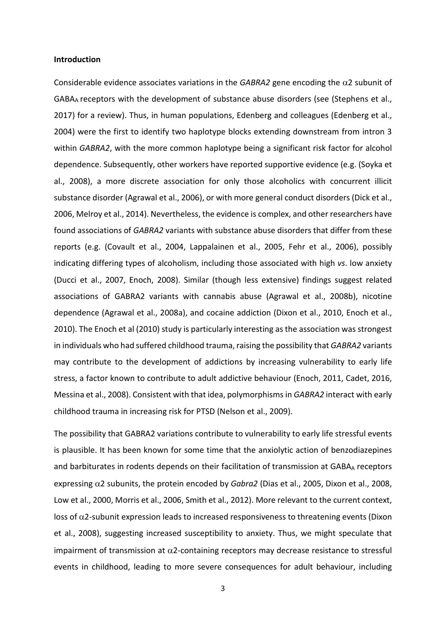#### **Introduction**

Considerable evidence associates variations in the  $GABRA2$  gene encoding the  $\alpha$ 2 subunit of GABAA receptors with the development of substance abuse disorders (see (Stephens et al., 2017) for a review). Thus, in human populations, Edenberg and colleagues (Edenberg et al., 2004) were the first to identify two haplotype blocks extending downstream from intron 3 within *GABRA2*, with the more common haplotype being a significant risk factor for alcohol dependence. Subsequently, other workers have reported supportive evidence (e.g. (Soyka et al., 2008), a more discrete association for only those alcoholics with concurrent illicit substance disorder (Agrawal et al., 2006), or with more general conduct disorders (Dick et al., 2006, Melroy et al., 2014). Nevertheless, the evidence is complex, and other researchers have found associations of *GABRA2* variants with substance abuse disorders that differ from these reports (e.g. (Covault et al., 2004, Lappalainen et al., 2005, Fehr et al., 2006), possibly indicating differing types of alcoholism, including those associated with high *vs*. low anxiety (Ducci et al., 2007, Enoch, 2008). Similar (though less extensive) findings suggest related associations of GABRA2 variants with cannabis abuse (Agrawal et al., 2008b), nicotine dependence (Agrawal et al., 2008a), and cocaine addiction (Dixon et al., 2010, Enoch et al., 2010). The Enoch et al (2010) study is particularly interesting as the association was strongest in individuals who had suffered childhood trauma, raising the possibility that *GABRA2* variants may contribute to the development of addictions by increasing vulnerability to early life stress, a factor known to contribute to adult addictive behaviour (Enoch, 2011, Cadet, 2016, Messina et al., 2008). Consistent with that idea, polymorphisms in *GABRA2* interact with early childhood trauma in increasing risk for PTSD (Nelson et al., 2009).

The possibility that GABRA2 variations contribute to vulnerability to early life stressful events is plausible. It has been known for some time that the anxiolytic action of benzodiazepines and barbiturates in rodents depends on their facilitation of transmission at GABAA receptors expressing α2 subunits, the protein encoded by *Gabra2* (Dias et al., 2005, Dixon et al., 2008, Low et al., 2000, Morris et al., 2006, Smith et al., 2012). More relevant to the current context, loss of  $α2$ -subunit expression leads to increased responsiveness to threatening events (Dixon et al., 2008), suggesting increased susceptibility to anxiety. Thus, we might speculate that impairment of transmission at  $\alpha$ 2-containing receptors may decrease resistance to stressful events in childhood, leading to more severe consequences for adult behaviour, including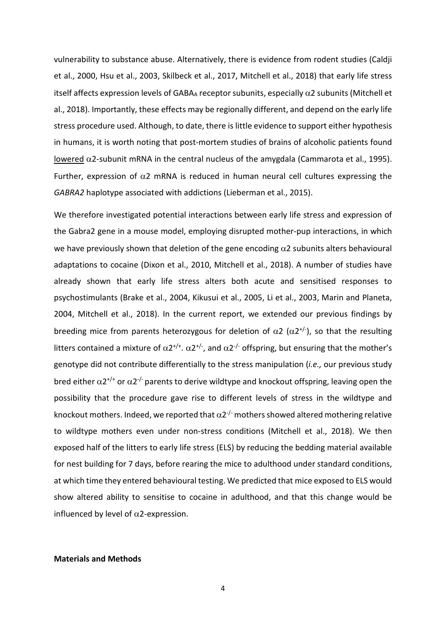vulnerability to substance abuse. Alternatively, there is evidence from rodent studies (Caldji et al., 2000, Hsu et al., 2003, Skilbeck et al., 2017, Mitchell et al., 2018) that early life stress itself affects expression levels of GABAA receptor subunits, especially  $\alpha$ 2 subunits (Mitchell et al., 2018). Importantly, these effects may be regionally different, and depend on the early life stress procedure used. Although, to date, there is little evidence to support either hypothesis in humans, it is worth noting that post-mortem studies of brains of alcoholic patients found lowered  $α2$ -subunit mRNA in the central nucleus of the amygdala (Cammarota et al., 1995). Further, expression of  $\alpha$ 2 mRNA is reduced in human neural cell cultures expressing the *GABRA2* haplotype associated with addictions (Lieberman et al., 2015).

We therefore investigated potential interactions between early life stress and expression of the Gabra2 gene in a mouse model, employing disrupted mother-pup interactions, in which we have previously shown that deletion of the gene encoding  $\alpha$ 2 subunits alters behavioural adaptations to cocaine (Dixon et al., 2010, Mitchell et al., 2018). A number of studies have already shown that early life stress alters both acute and sensitised responses to psychostimulants (Brake et al., 2004, Kikusui et al., 2005, Li et al., 2003, Marin and Planeta, 2004, Mitchell et al., 2018). In the current report, we extended our previous findings by breeding mice from parents heterozygous for deletion of  $\alpha$ 2 ( $\alpha$ 2<sup>+/-</sup>), so that the resulting litters contained a mixture of  $\alpha 2^{t/2}$ .  $\alpha 2^{t/2}$ , and  $\alpha 2^{-t/2}$  offspring, but ensuring that the mother's genotype did not contribute differentially to the stress manipulation (*i.e.,* our previous study bred either  $\alpha 2^{+/+}$  or  $\alpha 2^{-/-}$  parents to derive wildtype and knockout offspring, leaving open the possibility that the procedure gave rise to different levels of stress in the wildtype and knockout mothers. Indeed, we reported that  $\alpha$ 2<sup>-/-</sup> mothers showed altered mothering relative to wildtype mothers even under non-stress conditions (Mitchell et al., 2018). We then exposed half of the litters to early life stress (ELS) by reducing the bedding material available for nest building for 7 days, before rearing the mice to adulthood under standard conditions, at which time they entered behavioural testing. We predicted that mice exposed to ELS would show altered ability to sensitise to cocaine in adulthood, and that this change would be influenced by level of  $\alpha$ 2-expression.

#### **Materials and Methods**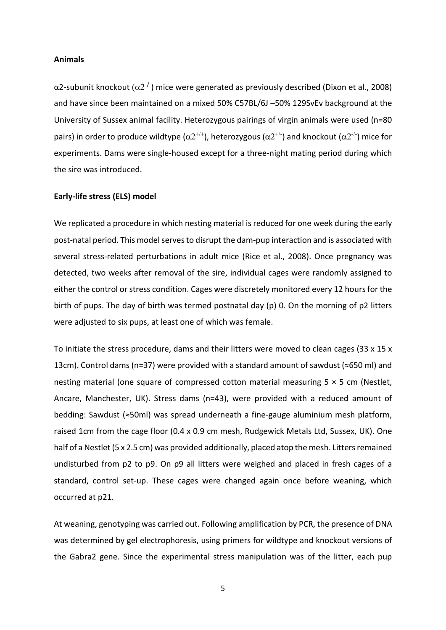#### **Animals**

α2-subunit knockout ( $α2^{-/2}$ ) mice were generated as previously described (Dixon et al., 2008) and have since been maintained on a mixed 50% C57BL/6J –50% 129SvEv background at the University of Sussex animal facility. Heterozygous pairings of virgin animals were used (n=80 pairs) in order to produce wildtype ( $\alpha 2^{+/+}$ ), heterozygous ( $\alpha 2^{+/-}$ ) and knockout ( $\alpha 2^{-/-}$ ) mice for experiments. Dams were single-housed except for a three-night mating period during which the sire was introduced.

#### **Early-life stress (ELS) model**

We replicated a procedure in which nesting material is reduced for one week during the early post-natal period. This model serves to disrupt the dam-pup interaction and is associated with several stress-related perturbations in adult mice (Rice et al., 2008). Once pregnancy was detected, two weeks after removal of the sire, individual cages were randomly assigned to either the control or stress condition. Cages were discretely monitored every 12 hours for the birth of pups. The day of birth was termed postnatal day (p) 0. On the morning of p2 litters were adjusted to six pups, at least one of which was female.

To initiate the stress procedure, dams and their litters were moved to clean cages (33 x 15 x 13cm). Control dams (n=37) were provided with a standard amount of sawdust (≈650 ml) and nesting material (one square of compressed cotton material measuring  $5 \times 5$  cm (Nestlet, Ancare, Manchester, UK). Stress dams (n=43), were provided with a reduced amount of bedding: Sawdust (≈50ml) was spread underneath a fine-gauge aluminium mesh platform, raised 1cm from the cage floor (0.4 x 0.9 cm mesh, Rudgewick Metals Ltd, Sussex, UK). One half of a Nestlet (5 x 2.5 cm) was provided additionally, placed atop the mesh. Litters remained undisturbed from p2 to p9. On p9 all litters were weighed and placed in fresh cages of a standard, control set-up. These cages were changed again once before weaning, which occurred at p21.

At weaning, genotyping was carried out. Following amplification by PCR, the presence of DNA was determined by gel electrophoresis, using primers for wildtype and knockout versions of the Gabra2 gene. Since the experimental stress manipulation was of the litter, each pup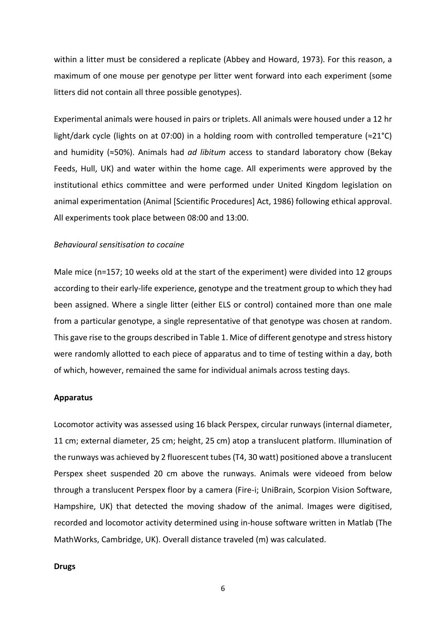within a litter must be considered a replicate (Abbey and Howard, 1973). For this reason, a maximum of one mouse per genotype per litter went forward into each experiment (some litters did not contain all three possible genotypes).

Experimental animals were housed in pairs or triplets. All animals were housed under a 12 hr light/dark cycle (lights on at 07:00) in a holding room with controlled temperature (≈21°C) and humidity (≈50%). Animals had *ad libitum* access to standard laboratory chow (Bekay Feeds, Hull, UK) and water within the home cage. All experiments were approved by the institutional ethics committee and were performed under United Kingdom legislation on animal experimentation (Animal [Scientific Procedures] Act, 1986) following ethical approval. All experiments took place between 08:00 and 13:00.

#### *Behavioural sensitisation to cocaine*

Male mice (n=157; 10 weeks old at the start of the experiment) were divided into 12 groups according to their early-life experience, genotype and the treatment group to which they had been assigned. Where a single litter (either ELS or control) contained more than one male from a particular genotype, a single representative of that genotype was chosen at random. This gave rise to the groups described in Table 1. Mice of different genotype and stress history were randomly allotted to each piece of apparatus and to time of testing within a day, both of which, however, remained the same for individual animals across testing days.

#### **Apparatus**

Locomotor activity was assessed using 16 black Perspex, circular runways (internal diameter, 11 cm; external diameter, 25 cm; height, 25 cm) atop a translucent platform. Illumination of the runways was achieved by 2 fluorescent tubes (T4, 30 watt) positioned above a translucent Perspex sheet suspended 20 cm above the runways. Animals were videoed from below through a translucent Perspex floor by a camera (Fire-i; UniBrain, Scorpion Vision Software, Hampshire, UK) that detected the moving shadow of the animal. Images were digitised, recorded and locomotor activity determined using in-house software written in Matlab (The MathWorks, Cambridge, UK). Overall distance traveled (m) was calculated.

#### **Drugs**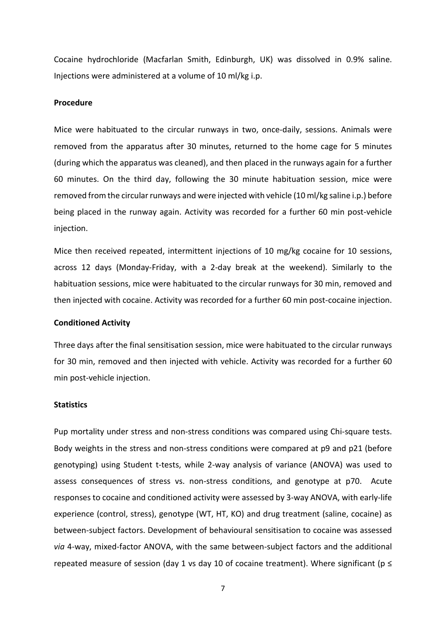Cocaine hydrochloride (Macfarlan Smith, Edinburgh, UK) was dissolved in 0.9% saline. Injections were administered at a volume of 10 ml/kg i.p.

#### **Procedure**

Mice were habituated to the circular runways in two, once-daily, sessions. Animals were removed from the apparatus after 30 minutes, returned to the home cage for 5 minutes (during which the apparatus was cleaned), and then placed in the runways again for a further 60 minutes. On the third day, following the 30 minute habituation session, mice were removed from the circular runways and were injected with vehicle (10 ml/kg saline i.p.) before being placed in the runway again. Activity was recorded for a further 60 min post-vehicle injection.

Mice then received repeated, intermittent injections of 10 mg/kg cocaine for 10 sessions, across 12 days (Monday-Friday, with a 2-day break at the weekend). Similarly to the habituation sessions, mice were habituated to the circular runways for 30 min, removed and then injected with cocaine. Activity was recorded for a further 60 min post-cocaine injection.

#### **Conditioned Activity**

Three days after the final sensitisation session, mice were habituated to the circular runways for 30 min, removed and then injected with vehicle. Activity was recorded for a further 60 min post-vehicle injection.

#### **Statistics**

Pup mortality under stress and non-stress conditions was compared using Chi-square tests. Body weights in the stress and non-stress conditions were compared at p9 and p21 (before genotyping) using Student t-tests, while 2-way analysis of variance (ANOVA) was used to assess consequences of stress vs. non-stress conditions, and genotype at p70. Acute responses to cocaine and conditioned activity were assessed by 3-way ANOVA, with early-life experience (control, stress), genotype (WT, HT, KO) and drug treatment (saline, cocaine) as between-subject factors. Development of behavioural sensitisation to cocaine was assessed *via* 4-way, mixed-factor ANOVA, with the same between-subject factors and the additional repeated measure of session (day 1 vs day 10 of cocaine treatment). Where significant ( $p \le$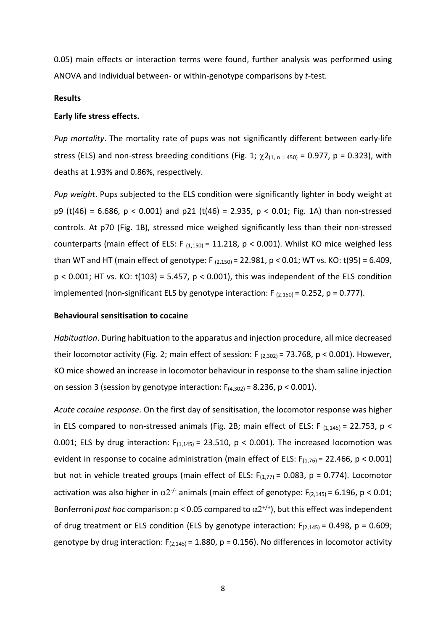0.05) main effects or interaction terms were found, further analysis was performed using ANOVA and individual between- or within-genotype comparisons by *t*-test.

#### **Results**

#### **Early life stress effects.**

*Pup mortality*. The mortality rate of pups was not significantly different between early-life stress (ELS) and non-stress breeding conditions (Fig. 1;  $\chi$ 2<sub>(1, n = 450)</sub> = 0.977, p = 0.323), with deaths at 1.93% and 0.86%, respectively.

*Pup weight*. Pups subjected to the ELS condition were significantly lighter in body weight at p9 (t(46) = 6.686, p < 0.001) and p21 (t(46) = 2.935, p < 0.01; Fig. 1A) than non-stressed controls. At p70 (Fig. 1B), stressed mice weighed significantly less than their non-stressed counterparts (main effect of ELS: F  $_{(1,150)}$  = 11.218, p < 0.001). Whilst KO mice weighed less than WT and HT (main effect of genotype: F  $_{(2.150)}$  = 22.981, p < 0.01; WT vs. KO: t(95) = 6.409,  $p < 0.001$ ; HT vs. KO: t(103) = 5.457,  $p < 0.001$ ), this was independent of the ELS condition implemented (non-significant ELS by genotype interaction:  $F_{(2,150)} = 0.252$ ,  $p = 0.777$ ).

#### **Behavioural sensitisation to cocaine**

*Habituation*. During habituation to the apparatus and injection procedure, all mice decreased their locomotor activity (Fig. 2; main effect of session: F  $_{(2,302)}$  = 73.768, p < 0.001). However, KO mice showed an increase in locomotor behaviour in response to the sham saline injection on session 3 (session by genotype interaction:  $F_{(4,302)} = 8.236$ , p < 0.001).

*Acute cocaine response*. On the first day of sensitisation, the locomotor response was higher in ELS compared to non-stressed animals (Fig. 2B; main effect of ELS: F  $_{(1,145)}$  = 22.753, p < 0.001; ELS by drug interaction:  $F_{(1,145)} = 23.510$ ,  $p < 0.001$ ). The increased locomotion was evident in response to cocaine administration (main effect of ELS:  $F_{(1,76)} = 22.466$ ,  $p < 0.001$ ) but not in vehicle treated groups (main effect of ELS:  $F_{(1,77)} = 0.083$ , p = 0.774). Locomotor activation was also higher in  $\alpha 2^{-1}$  animals (main effect of genotype: F<sub>(2,145)</sub> = 6.196, p < 0.01; Bonferroni *post hoc* comparison:  $p < 0.05$  compared to  $\alpha 2^{+/+}$ ), but this effect was independent of drug treatment or ELS condition (ELS by genotype interaction:  $F_{(2,145)} = 0.498$ ,  $p = 0.609$ ; genotype by drug interaction:  $F_{(2,145)} = 1.880$ , p = 0.156). No differences in locomotor activity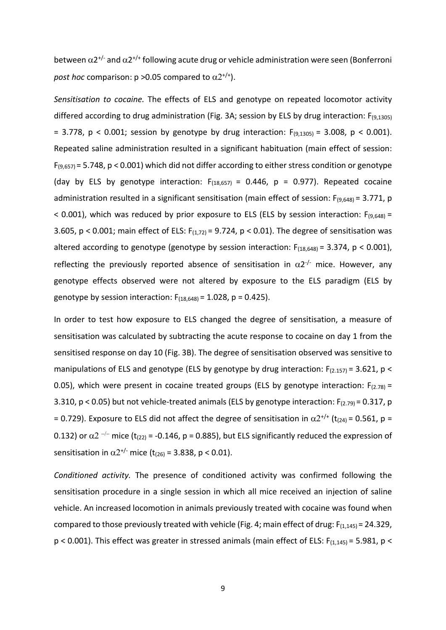between  $\alpha 2^{t/2}$  and  $\alpha 2^{t/2}$  following acute drug or vehicle administration were seen (Bonferroni *post hoc* comparison:  $p > 0.05$  compared to  $\alpha 2^{+/+}$ ).

*Sensitisation to cocaine.* The effects of ELS and genotype on repeated locomotor activity differed according to drug administration (Fig. 3A; session by ELS by drug interaction: F<sub>(9,1305)</sub> = 3.778,  $p$  < 0.001; session by genotype by drug interaction:  $F_{(9,1305)} = 3.008$ ,  $p$  < 0.001). Repeated saline administration resulted in a significant habituation (main effect of session:  $F_{(9,657)}$  = 5.748, p < 0.001) which did not differ according to either stress condition or genotype (day by ELS by genotype interaction:  $F_{(18,657)} = 0.446$ , p = 0.977). Repeated cocaine administration resulted in a significant sensitisation (main effect of session:  $F_{(9,648)} = 3.771$ , p < 0.001), which was reduced by prior exposure to ELS (ELS by session interaction:  $F_{(9,648)} =$ 3.605,  $p < 0.001$ ; main effect of ELS:  $F_{(1,72)} = 9.724$ ,  $p < 0.01$ ). The degree of sensitisation was altered according to genotype (genotype by session interaction:  $F_{(18,648)} = 3.374$ , p < 0.001), reflecting the previously reported absence of sensitisation in  $\alpha 2^{-1}$  mice. However, any genotype effects observed were not altered by exposure to the ELS paradigm (ELS by genotype by session interaction:  $F_{(18,648)} = 1.028$ ,  $p = 0.425$ ).

In order to test how exposure to ELS changed the degree of sensitisation, a measure of sensitisation was calculated by subtracting the acute response to cocaine on day 1 from the sensitised response on day 10 (Fig. 3B). The degree of sensitisation observed was sensitive to manipulations of ELS and genotype (ELS by genotype by drug interaction:  $F_{(2.157)} = 3.621$ , p < 0.05), which were present in cocaine treated groups (ELS by genotype interaction:  $F_{(2.78)}$  = 3.310,  $p < 0.05$ ) but not vehicle-treated animals (ELS by genotype interaction:  $F_{(2.79)} = 0.317$ , p = 0.729). Exposure to ELS did not affect the degree of sensitisation in  $\alpha 2^{+/+}$  (t<sub>(24)</sub> = 0.561, p = 0.132) or  $\alpha$ 2<sup>-/-</sup> mice (t<sub>(22)</sub> = -0.146, p = 0.885), but ELS significantly reduced the expression of sensitisation in  $\alpha 2^{+/}$  mice (t<sub>(26)</sub> = 3.838, p < 0.01).

*Conditioned activity.* The presence of conditioned activity was confirmed following the sensitisation procedure in a single session in which all mice received an injection of saline vehicle. An increased locomotion in animals previously treated with cocaine was found when compared to those previously treated with vehicle (Fig. 4; main effect of drug:  $F_{(1,145)} = 24.329$ ,  $p$  < 0.001). This effect was greater in stressed animals (main effect of ELS:  $F_{(1,145)} = 5.981$ ,  $p$  <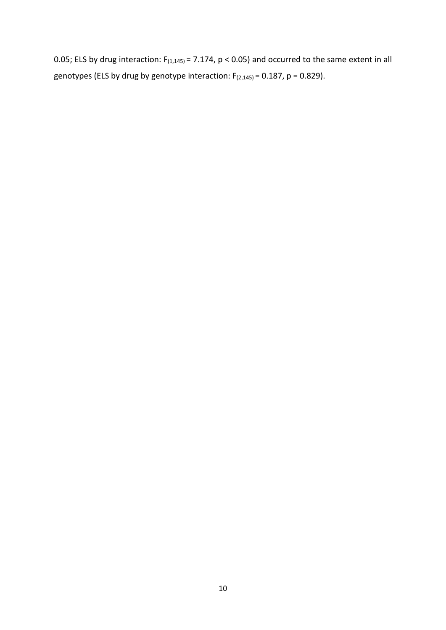0.05; ELS by drug interaction:  $F_{(1,145)} = 7.174$ , p < 0.05) and occurred to the same extent in all genotypes (ELS by drug by genotype interaction:  $F_{(2,145)} = 0.187$ , p = 0.829).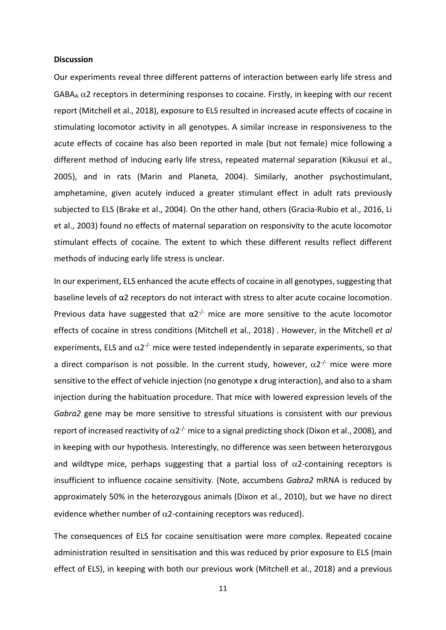#### **Discussion**

Our experiments reveal three different patterns of interaction between early life stress and GABA $_{A}$   $\alpha$ 2 receptors in determining responses to cocaine. Firstly, in keeping with our recent report (Mitchell et al., 2018), exposure to ELS resulted in increased acute effects of cocaine in stimulating locomotor activity in all genotypes. A similar increase in responsiveness to the acute effects of cocaine has also been reported in male (but not female) mice following a different method of inducing early life stress, repeated maternal separation (Kikusui et al., 2005), and in rats (Marin and Planeta, 2004). Similarly, another psychostimulant, amphetamine, given acutely induced a greater stimulant effect in adult rats previously subjected to ELS (Brake et al., 2004). On the other hand, others (Gracia-Rubio et al., 2016, Li et al., 2003) found no effects of maternal separation on responsivity to the acute locomotor stimulant effects of cocaine. The extent to which these different results reflect different methods of inducing early life stress is unclear.

In our experiment, ELS enhanced the acute effects of cocaine in all genotypes, suggesting that baseline levels of α2 receptors do not interact with stress to alter acute cocaine locomotion. Previous data have suggested that  $\alpha 2^{-1}$  mice are more sensitive to the acute locomotor effects of cocaine in stress conditions (Mitchell et al., 2018) . However, in the Mitchell *et al* experiments, ELS and  $\alpha 2^{-1}$  mice were tested independently in separate experiments, so that a direct comparison is not possible. In the current study, however,  $\alpha 2^{-1}$  mice were more sensitive to the effect of vehicle injection (no genotype x drug interaction), and also to a sham injection during the habituation procedure. That mice with lowered expression levels of the *Gabra2* gene may be more sensitive to stressful situations is consistent with our previous report of increased reactivity of  $\alpha$ 2<sup>-/-</sup> mice to a signal predicting shock (Dixon et al., 2008), and in keeping with our hypothesis. Interestingly, no difference was seen between heterozygous and wildtype mice, perhaps suggesting that a partial loss of  $\alpha$ 2-containing receptors is insufficient to influence cocaine sensitivity. (Note, accumbens *Gabra2* mRNA is reduced by approximately 50% in the heterozygous animals (Dixon et al., 2010), but we have no direct evidence whether number of  $\alpha$ 2-containing receptors was reduced).

The consequences of ELS for cocaine sensitisation were more complex. Repeated cocaine administration resulted in sensitisation and this was reduced by prior exposure to ELS (main effect of ELS), in keeping with both our previous work (Mitchell et al., 2018) and a previous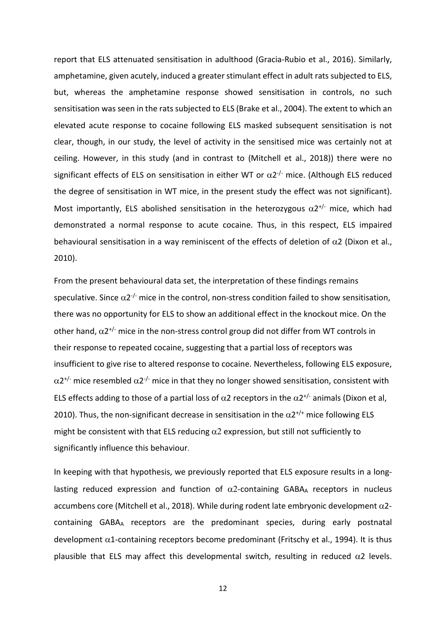report that ELS attenuated sensitisation in adulthood (Gracia-Rubio et al., 2016). Similarly, amphetamine, given acutely, induced a greater stimulant effect in adult rats subjected to ELS, but, whereas the amphetamine response showed sensitisation in controls, no such sensitisation was seen in the rats subjected to ELS (Brake et al., 2004). The extent to which an elevated acute response to cocaine following ELS masked subsequent sensitisation is not clear, though, in our study, the level of activity in the sensitised mice was certainly not at ceiling. However, in this study (and in contrast to (Mitchell et al., 2018)) there were no significant effects of ELS on sensitisation in either WT or  $\alpha$ 2<sup>-/-</sup> mice. (Although ELS reduced the degree of sensitisation in WT mice, in the present study the effect was not significant). Most importantly, ELS abolished sensitisation in the heterozygous  $\alpha 2^{t/-}$  mice, which had demonstrated a normal response to acute cocaine. Thus, in this respect, ELS impaired behavioural sensitisation in a way reminiscent of the effects of deletion of  $\alpha$ 2 (Dixon et al., 2010).

From the present behavioural data set, the interpretation of these findings remains speculative. Since  $\alpha 2^{-1}$  mice in the control, non-stress condition failed to show sensitisation, there was no opportunity for ELS to show an additional effect in the knockout mice. On the other hand,  $\alpha 2^{t/-}$  mice in the non-stress control group did not differ from WT controls in their response to repeated cocaine, suggesting that a partial loss of receptors was insufficient to give rise to altered response to cocaine. Nevertheless, following ELS exposure,  $\alpha$ 2<sup>+/-</sup> mice resembled  $\alpha$ 2<sup>-/-</sup> mice in that they no longer showed sensitisation, consistent with ELS effects adding to those of a partial loss of  $\alpha$ 2 receptors in the  $\alpha$ 2<sup>+/-</sup> animals (Dixon et al, 2010). Thus, the non-significant decrease in sensitisation in the  $\alpha 2^{+/+}$  mice following ELS might be consistent with that ELS reducing  $\alpha$ 2 expression, but still not sufficiently to significantly influence this behaviour.

In keeping with that hypothesis, we previously reported that ELS exposure results in a longlasting reduced expression and function of  $\alpha$ 2-containing GABA<sub>A</sub> receptors in nucleus accumbens core (Mitchell et al., 2018). While during rodent late embryonic development  $\alpha$ 2containing GABAA receptors are the predominant species, during early postnatal development  $\alpha$ 1-containing receptors become predominant (Fritschy et al., 1994). It is thus plausible that ELS may affect this developmental switch, resulting in reduced  $\alpha$ 2 levels.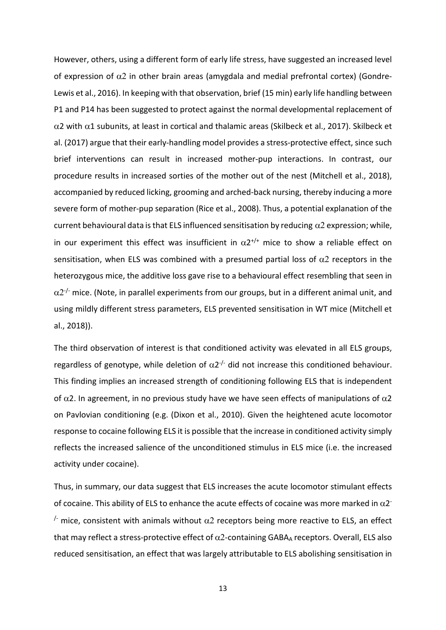However, others, using a different form of early life stress, have suggested an increased level of expression of  $\alpha$ 2 in other brain areas (amygdala and medial prefrontal cortex) (Gondre-Lewis et al., 2016). In keeping with that observation, brief (15 min) early life handling between P1 and P14 has been suggested to protect against the normal developmental replacement of α2 with α1 subunits, at least in cortical and thalamic areas (Skilbeck et al., 2017). Skilbeck et al. (2017) argue that their early-handling model provides a stress-protective effect, since such brief interventions can result in increased mother-pup interactions. In contrast, our procedure results in increased sorties of the mother out of the nest (Mitchell et al., 2018), accompanied by reduced licking, grooming and arched-back nursing, thereby inducing a more severe form of mother-pup separation (Rice et al., 2008). Thus, a potential explanation of the current behavioural data is that ELS influenced sensitisation by reducing  $\alpha$ 2 expression; while, in our experiment this effect was insufficient in  $\alpha 2^{+/+}$  mice to show a reliable effect on sensitisation, when ELS was combined with a presumed partial loss of  $\alpha$ 2 receptors in the heterozygous mice, the additive loss gave rise to a behavioural effect resembling that seen in  $\alpha$ 2<sup>-/-</sup> mice. (Note, in parallel experiments from our groups, but in a different animal unit, and using mildly different stress parameters, ELS prevented sensitisation in WT mice (Mitchell et al., 2018)).

The third observation of interest is that conditioned activity was elevated in all ELS groups, regardless of genotype, while deletion of  $\alpha$ 2<sup>-/-</sup> did not increase this conditioned behaviour. This finding implies an increased strength of conditioning following ELS that is independent of  $\alpha$ 2. In agreement, in no previous study have we have seen effects of manipulations of  $\alpha$ 2 on Pavlovian conditioning (e.g. (Dixon et al., 2010). Given the heightened acute locomotor response to cocaine following ELS it is possible that the increase in conditioned activity simply reflects the increased salience of the unconditioned stimulus in ELS mice (i.e. the increased activity under cocaine).

Thus, in summary, our data suggest that ELS increases the acute locomotor stimulant effects of cocaine. This ability of ELS to enhance the acute effects of cocaine was more marked in  $\alpha$ 2<sup>-</sup>  $\frac{1}{2}$  mice, consistent with animals without  $\alpha$  receptors being more reactive to ELS, an effect that may reflect a stress-protective effect of  $\alpha$ 2-containing GABA<sub>A</sub> receptors. Overall, ELS also reduced sensitisation, an effect that was largely attributable to ELS abolishing sensitisation in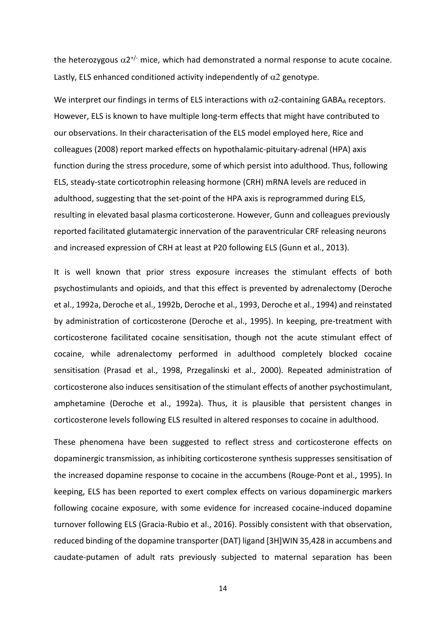the heterozygous  $\alpha 2^{t/-}$  mice, which had demonstrated a normal response to acute cocaine. Lastly, ELS enhanced conditioned activity independently of  $\alpha$ 2 genotype.

We interpret our findings in terms of ELS interactions with  $\alpha$ 2-containing GABAA receptors. However, ELS is known to have multiple long-term effects that might have contributed to our observations. In their characterisation of the ELS model employed here, Rice and colleagues (2008) report marked effects on hypothalamic-pituitary-adrenal (HPA) axis function during the stress procedure, some of which persist into adulthood. Thus, following ELS, steady-state corticotrophin releasing hormone (CRH) mRNA levels are reduced in adulthood, suggesting that the set-point of the HPA axis is reprogrammed during ELS, resulting in elevated basal plasma corticosterone. However, Gunn and colleagues previously reported facilitated glutamatergic innervation of the paraventricular CRF releasing neurons and increased expression of CRH at least at P20 following ELS (Gunn et al., 2013).

It is well known that prior stress exposure increases the stimulant effects of both psychostimulants and opioids, and that this effect is prevented by adrenalectomy (Deroche et al., 1992a, Deroche et al., 1992b, Deroche et al., 1993, Deroche et al., 1994) and reinstated by administration of corticosterone (Deroche et al., 1995). In keeping, pre-treatment with corticosterone facilitated cocaine sensitisation, though not the acute stimulant effect of cocaine, while adrenalectomy performed in adulthood completely blocked cocaine sensitisation (Prasad et al., 1998, Przegalinski et al., 2000). Repeated administration of corticosterone also induces sensitisation of the stimulant effects of another psychostimulant, amphetamine (Deroche et al., 1992a). Thus, it is plausible that persistent changes in corticosterone levels following ELS resulted in altered responses to cocaine in adulthood.

These phenomena have been suggested to reflect stress and corticosterone effects on dopaminergic transmission, as inhibiting corticosterone synthesis suppresses sensitisation of the increased dopamine response to cocaine in the accumbens (Rouge-Pont et al., 1995). In keeping, ELS has been reported to exert complex effects on various dopaminergic markers following cocaine exposure, with some evidence for increased cocaine-induced dopamine turnover following ELS (Gracia-Rubio et al., 2016). Possibly consistent with that observation, reduced binding of the dopamine transporter (DAT) ligand [3H]WIN 35,428 in accumbens and caudate-putamen of adult rats previously subjected to maternal separation has been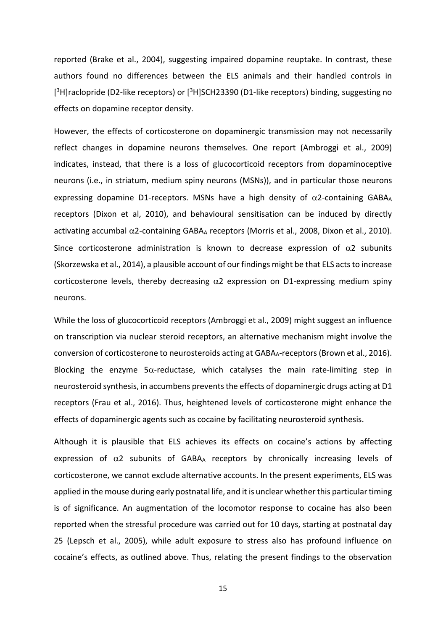reported (Brake et al., 2004), suggesting impaired dopamine reuptake. In contrast, these authors found no differences between the ELS animals and their handled controls in [<sup>3</sup>H]raclopride (D2-like receptors) or [<sup>3</sup>H]SCH23390 (D1-like receptors) binding, suggesting no effects on dopamine receptor density.

However, the effects of corticosterone on dopaminergic transmission may not necessarily reflect changes in dopamine neurons themselves. One report (Ambroggi et al., 2009) indicates, instead, that there is a loss of glucocorticoid receptors from dopaminoceptive neurons (i.e., in striatum, medium spiny neurons (MSNs)), and in particular those neurons expressing dopamine D1-receptors. MSNs have a high density of  $\alpha$ 2-containing GABAA receptors (Dixon et al, 2010), and behavioural sensitisation can be induced by directly activating accumbal  $\alpha$ 2-containing GABAA receptors (Morris et al., 2008, Dixon et al., 2010). Since corticosterone administration is known to decrease expression of  $\alpha$ 2 subunits (Skorzewska et al., 2014), a plausible account of our findings might be that ELS acts to increase corticosterone levels, thereby decreasing  $\alpha$ 2 expression on D1-expressing medium spiny neurons.

While the loss of glucocorticoid receptors (Ambroggi et al., 2009) might suggest an influence on transcription via nuclear steroid receptors, an alternative mechanism might involve the conversion of corticosterone to neurosteroids acting at GABAA-receptors (Brown et al., 2016). Blocking the enzyme  $5\alpha$ -reductase, which catalyses the main rate-limiting step in neurosteroid synthesis, in accumbens prevents the effects of dopaminergic drugs acting at D1 receptors (Frau et al., 2016). Thus, heightened levels of corticosterone might enhance the effects of dopaminergic agents such as cocaine by facilitating neurosteroid synthesis.

Although it is plausible that ELS achieves its effects on cocaine's actions by affecting expression of  $\alpha$ 2 subunits of GABA<sub>A</sub> receptors by chronically increasing levels of corticosterone, we cannot exclude alternative accounts. In the present experiments, ELS was applied in the mouse during early postnatal life, and it is unclear whether this particular timing is of significance. An augmentation of the locomotor response to cocaine has also been reported when the stressful procedure was carried out for 10 days, starting at postnatal day 25 (Lepsch et al., 2005), while adult exposure to stress also has profound influence on cocaine's effects, as outlined above. Thus, relating the present findings to the observation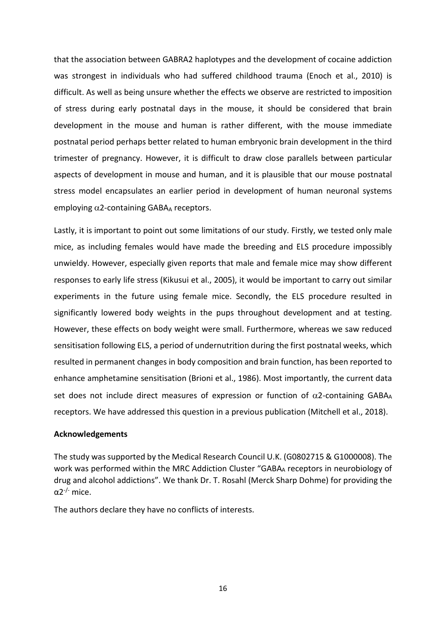that the association between GABRA2 haplotypes and the development of cocaine addiction was strongest in individuals who had suffered childhood trauma (Enoch et al., 2010) is difficult. As well as being unsure whether the effects we observe are restricted to imposition of stress during early postnatal days in the mouse, it should be considered that brain development in the mouse and human is rather different, with the mouse immediate postnatal period perhaps better related to human embryonic brain development in the third trimester of pregnancy. However, it is difficult to draw close parallels between particular aspects of development in mouse and human, and it is plausible that our mouse postnatal stress model encapsulates an earlier period in development of human neuronal systems employing  $\alpha$ 2-containing GABAA receptors.

Lastly, it is important to point out some limitations of our study. Firstly, we tested only male mice, as including females would have made the breeding and ELS procedure impossibly unwieldy. However, especially given reports that male and female mice may show different responses to early life stress (Kikusui et al., 2005), it would be important to carry out similar experiments in the future using female mice. Secondly, the ELS procedure resulted in significantly lowered body weights in the pups throughout development and at testing. However, these effects on body weight were small. Furthermore, whereas we saw reduced sensitisation following ELS, a period of undernutrition during the first postnatal weeks, which resulted in permanent changes in body composition and brain function, has been reported to enhance amphetamine sensitisation (Brioni et al., 1986). Most importantly, the current data set does not include direct measures of expression or function of  $\alpha$ 2-containing GABAA receptors. We have addressed this question in a previous publication (Mitchell et al., 2018).

#### **Acknowledgements**

The study was supported by the Medical Research Council U.K. (G0802715 & G1000008). The work was performed within the MRC Addiction Cluster "GABAA receptors in neurobiology of drug and alcohol addictions". We thank Dr. T. Rosahl (Merck Sharp Dohme) for providing the α2-/- mice.

The authors declare they have no conflicts of interests.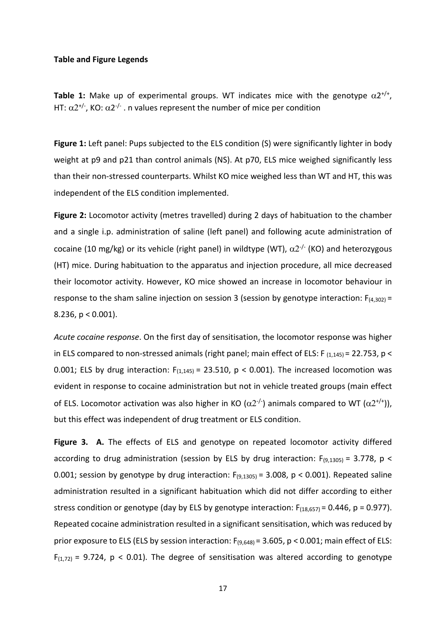#### **Table and Figure Legends**

**Table 1:** Make up of experimental groups. WT indicates mice with the genotype  $\alpha 2^{+/+}$ , HT:  $\alpha$ 2<sup>+/-</sup>, KO:  $\alpha$ 2<sup>-/-</sup>. n values represent the number of mice per condition

Figure 1: Left panel: Pups subjected to the ELS condition (S) were significantly lighter in body weight at p9 and p21 than control animals (NS). At p70, ELS mice weighed significantly less than their non-stressed counterparts. Whilst KO mice weighed less than WT and HT, this was independent of the ELS condition implemented.

**Figure 2:** Locomotor activity (metres travelled) during 2 days of habituation to the chamber and a single i.p. administration of saline (left panel) and following acute administration of cocaine (10 mg/kg) or its vehicle (right panel) in wildtype (WT),  $\alpha$ 2<sup>-/-</sup> (KO) and heterozygous (HT) mice. During habituation to the apparatus and injection procedure, all mice decreased their locomotor activity. However, KO mice showed an increase in locomotor behaviour in response to the sham saline injection on session 3 (session by genotype interaction:  $F_{(4,302)} =$ 8.236, p < 0.001).

*Acute cocaine response*. On the first day of sensitisation, the locomotor response was higher in ELS compared to non-stressed animals (right panel; main effect of ELS: F  $_{(1,145)}$  = 22.753, p < 0.001; ELS by drug interaction:  $F_{(1,145)} = 23.510$ ,  $p < 0.001$ ). The increased locomotion was evident in response to cocaine administration but not in vehicle treated groups (main effect of ELS. Locomotor activation was also higher in KO ( $\alpha$ 2<sup>-/-</sup>) animals compared to WT ( $\alpha$ 2<sup>+/+</sup>)), but this effect was independent of drug treatment or ELS condition.

**Figure 3. A.** The effects of ELS and genotype on repeated locomotor activity differed according to drug administration (session by ELS by drug interaction:  $F_{(9,1305)} = 3.778$ , p < 0.001; session by genotype by drug interaction:  $F_{(9,1305)} = 3.008$ , p < 0.001). Repeated saline administration resulted in a significant habituation which did not differ according to either stress condition or genotype (day by ELS by genotype interaction:  $F_{(18,657)} = 0.446$ ,  $p = 0.977$ ). Repeated cocaine administration resulted in a significant sensitisation, which was reduced by prior exposure to ELS (ELS by session interaction:  $F_{(9,648)} = 3.605$ , p < 0.001; main effect of ELS:  $F(1,72) = 9.724$ ,  $p < 0.01$ ). The degree of sensitisation was altered according to genotype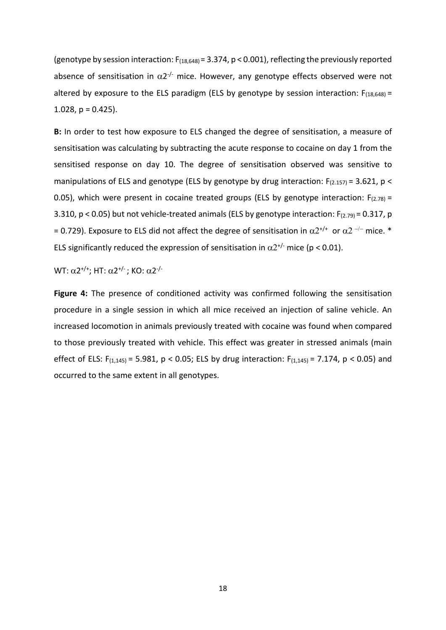(genotype by session interaction:  $F_{(18,648)} = 3.374$ , p < 0.001), reflecting the previously reported absence of sensitisation in  $\alpha 2^{-1}$  mice. However, any genotype effects observed were not altered by exposure to the ELS paradigm (ELS by genotype by session interaction:  $F_{(18,648)} =$ 1.028,  $p = 0.425$ ).

**B:** In order to test how exposure to ELS changed the degree of sensitisation, a measure of sensitisation was calculating by subtracting the acute response to cocaine on day 1 from the sensitised response on day 10. The degree of sensitisation observed was sensitive to manipulations of ELS and genotype (ELS by genotype by drug interaction:  $F_{(2.157)} = 3.621$ , p < 0.05), which were present in cocaine treated groups (ELS by genotype interaction:  $F_{(2.78)} =$ 3.310,  $p < 0.05$ ) but not vehicle-treated animals (ELS by genotype interaction:  $F_{(2.79)} = 0.317$ , p = 0.729). Exposure to ELS did not affect the degree of sensitisation in  $\alpha 2^{+/+}$  or  $\alpha 2^{-/-}$  mice. \* ELS significantly reduced the expression of sensitisation in  $\alpha 2^{t/-}$  mice (p < 0.01).

WT:  $α2^{+/+}$ ; HT:  $α2^{+/}$ ; KO:  $α2^{-/-}$ 

**Figure 4:** The presence of conditioned activity was confirmed following the sensitisation procedure in a single session in which all mice received an injection of saline vehicle. An increased locomotion in animals previously treated with cocaine was found when compared to those previously treated with vehicle. This effect was greater in stressed animals (main effect of ELS:  $F_{(1,145)} = 5.981$ ,  $p < 0.05$ ; ELS by drug interaction:  $F_{(1,145)} = 7.174$ ,  $p < 0.05$ ) and occurred to the same extent in all genotypes.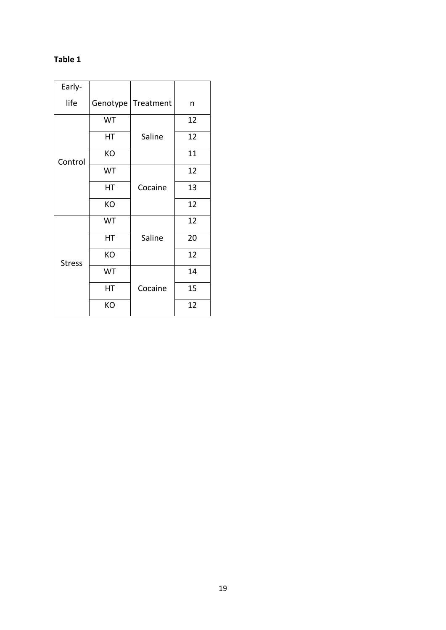## **Table 1**

| Early-        |          |           |    |
|---------------|----------|-----------|----|
| life          | Genotype | Treatment | n  |
| Control       | WT       |           | 12 |
|               | НT       | Saline    | 12 |
|               | KO       |           | 11 |
|               | WT       |           | 12 |
|               | HT       | Cocaine   | 13 |
|               | KO       |           | 12 |
| <b>Stress</b> | WT       |           | 12 |
|               | НT       | Saline    | 20 |
|               | KO       |           | 12 |
|               | WT       | Cocaine   | 14 |
|               | НT       |           | 15 |
|               | KO       |           | 12 |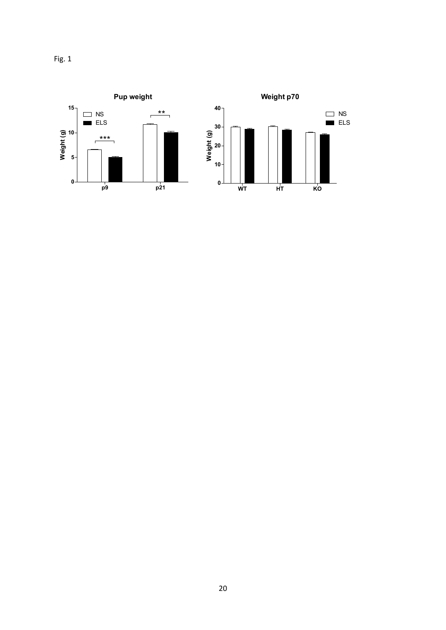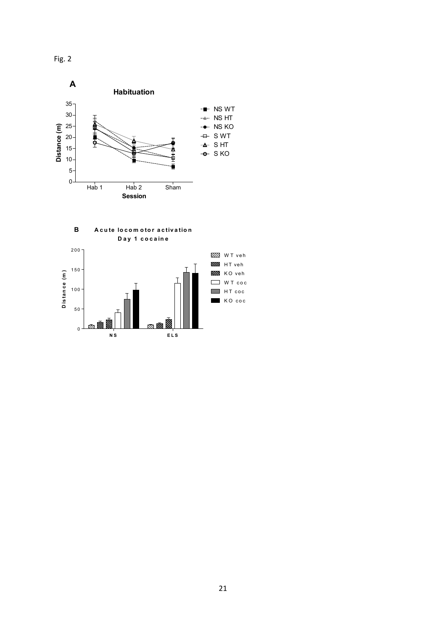Fig. 2



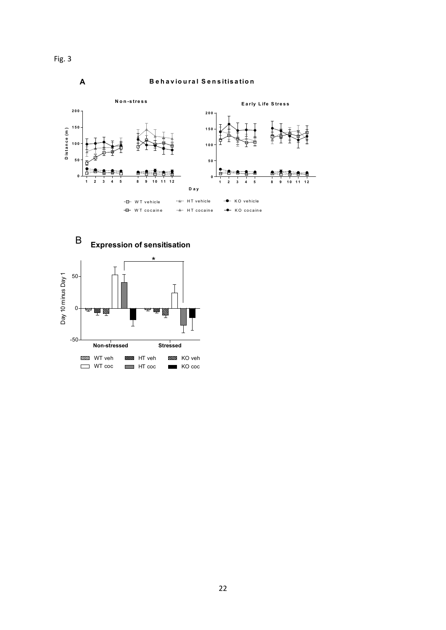



Fig. 3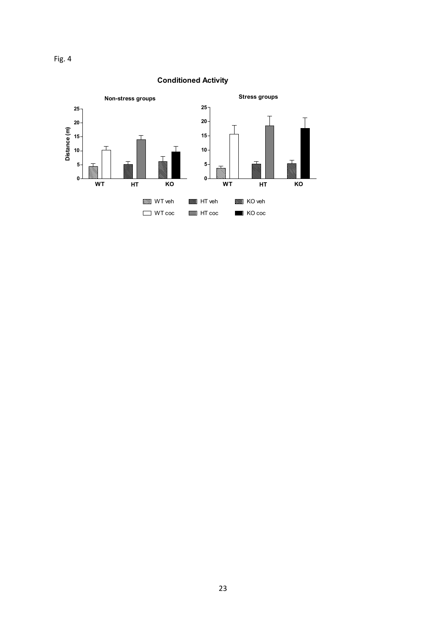

### **Conditioned Activity**

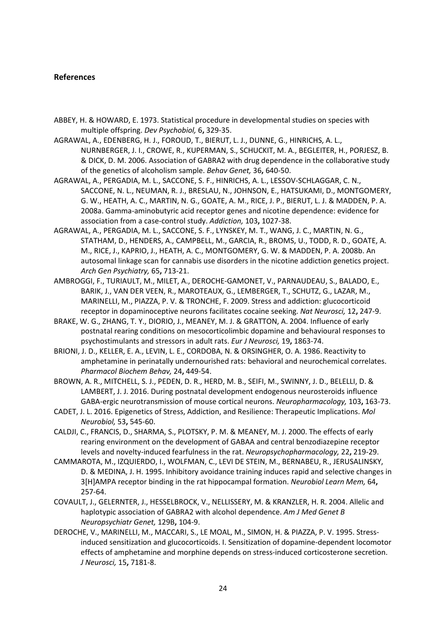#### **References**

- ABBEY, H. & HOWARD, E. 1973. Statistical procedure in developmental studies on species with multiple offspring. *Dev Psychobiol,* 6**,** 329-35.
- AGRAWAL, A., EDENBERG, H. J., FOROUD, T., BIERUT, L. J., DUNNE, G., HINRICHS, A. L., NURNBERGER, J. I., CROWE, R., KUPERMAN, S., SCHUCKIT, M. A., BEGLEITER, H., PORJESZ, B. & DICK, D. M. 2006. Association of GABRA2 with drug dependence in the collaborative study of the genetics of alcoholism sample. *Behav Genet,* 36**,** 640-50.
- AGRAWAL, A., PERGADIA, M. L., SACCONE, S. F., HINRICHS, A. L., LESSOV-SCHLAGGAR, C. N., SACCONE, N. L., NEUMAN, R. J., BRESLAU, N., JOHNSON, E., HATSUKAMI, D., MONTGOMERY, G. W., HEATH, A. C., MARTIN, N. G., GOATE, A. M., RICE, J. P., BIERUT, L. J. & MADDEN, P. A. 2008a. Gamma-aminobutyric acid receptor genes and nicotine dependence: evidence for association from a case-control study. *Addiction,* 103**,** 1027-38.
- AGRAWAL, A., PERGADIA, M. L., SACCONE, S. F., LYNSKEY, M. T., WANG, J. C., MARTIN, N. G., STATHAM, D., HENDERS, A., CAMPBELL, M., GARCIA, R., BROMS, U., TODD, R. D., GOATE, A. M., RICE, J., KAPRIO, J., HEATH, A. C., MONTGOMERY, G. W. & MADDEN, P. A. 2008b. An autosomal linkage scan for cannabis use disorders in the nicotine addiction genetics project. *Arch Gen Psychiatry,* 65**,** 713-21.
- AMBROGGI, F., TURIAULT, M., MILET, A., DEROCHE-GAMONET, V., PARNAUDEAU, S., BALADO, E., BARIK, J., VAN DER VEEN, R., MAROTEAUX, G., LEMBERGER, T., SCHUTZ, G., LAZAR, M., MARINELLI, M., PIAZZA, P. V. & TRONCHE, F. 2009. Stress and addiction: glucocorticoid receptor in dopaminoceptive neurons facilitates cocaine seeking. *Nat Neurosci,* 12**,** 247-9.
- BRAKE, W. G., ZHANG, T. Y., DIORIO, J., MEANEY, M. J. & GRATTON, A. 2004. Influence of early postnatal rearing conditions on mesocorticolimbic dopamine and behavioural responses to psychostimulants and stressors in adult rats. *Eur J Neurosci,* 19**,** 1863-74.
- BRIONI, J. D., KELLER, E. A., LEVIN, L. E., CORDOBA, N. & ORSINGHER, O. A. 1986. Reactivity to amphetamine in perinatally undernourished rats: behavioral and neurochemical correlates. *Pharmacol Biochem Behav,* 24**,** 449-54.

BROWN, A. R., MITCHELL, S. J., PEDEN, D. R., HERD, M. B., SEIFI, M., SWINNY, J. D., BELELLI, D. & LAMBERT, J. J. 2016. During postnatal development endogenous neurosteroids influence GABA-ergic neurotransmission of mouse cortical neurons. *Neuropharmacology,* 103**,** 163-73.

- CADET, J. L. 2016. Epigenetics of Stress, Addiction, and Resilience: Therapeutic Implications. *Mol Neurobiol,* 53**,** 545-60.
- CALDJI, C., FRANCIS, D., SHARMA, S., PLOTSKY, P. M. & MEANEY, M. J. 2000. The effects of early rearing environment on the development of GABAA and central benzodiazepine receptor levels and novelty-induced fearfulness in the rat. *Neuropsychopharmacology,* 22**,** 219-29.
- CAMMAROTA, M., IZQUIERDO, I., WOLFMAN, C., LEVI DE STEIN, M., BERNABEU, R., JERUSALINSKY, D. & MEDINA, J. H. 1995. Inhibitory avoidance training induces rapid and selective changes in 3[H]AMPA receptor binding in the rat hippocampal formation. *Neurobiol Learn Mem,* 64**,** 257-64.
- COVAULT, J., GELERNTER, J., HESSELBROCK, V., NELLISSERY, M. & KRANZLER, H. R. 2004. Allelic and haplotypic association of GABRA2 with alcohol dependence. *Am J Med Genet B Neuropsychiatr Genet,* 129B**,** 104-9.
- DEROCHE, V., MARINELLI, M., MACCARI, S., LE MOAL, M., SIMON, H. & PIAZZA, P. V. 1995. Stressinduced sensitization and glucocorticoids. I. Sensitization of dopamine-dependent locomotor effects of amphetamine and morphine depends on stress-induced corticosterone secretion. *J Neurosci,* 15**,** 7181-8.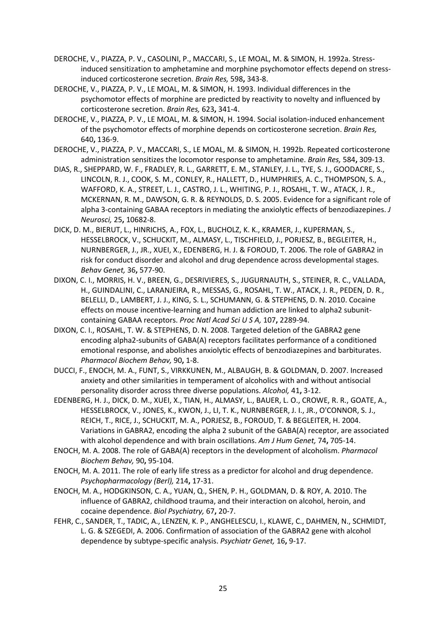- DEROCHE, V., PIAZZA, P. V., CASOLINI, P., MACCARI, S., LE MOAL, M. & SIMON, H. 1992a. Stressinduced sensitization to amphetamine and morphine psychomotor effects depend on stressinduced corticosterone secretion. *Brain Res,* 598**,** 343-8.
- DEROCHE, V., PIAZZA, P. V., LE MOAL, M. & SIMON, H. 1993. Individual differences in the psychomotor effects of morphine are predicted by reactivity to novelty and influenced by corticosterone secretion. *Brain Res,* 623**,** 341-4.
- DEROCHE, V., PIAZZA, P. V., LE MOAL, M. & SIMON, H. 1994. Social isolation-induced enhancement of the psychomotor effects of morphine depends on corticosterone secretion. *Brain Res,* 640**,** 136-9.
- DEROCHE, V., PIAZZA, P. V., MACCARI, S., LE MOAL, M. & SIMON, H. 1992b. Repeated corticosterone administration sensitizes the locomotor response to amphetamine. *Brain Res,* 584**,** 309-13.
- DIAS, R., SHEPPARD, W. F., FRADLEY, R. L., GARRETT, E. M., STANLEY, J. L., TYE, S. J., GOODACRE, S., LINCOLN, R. J., COOK, S. M., CONLEY, R., HALLETT, D., HUMPHRIES, A. C., THOMPSON, S. A., WAFFORD, K. A., STREET, L. J., CASTRO, J. L., WHITING, P. J., ROSAHL, T. W., ATACK, J. R., MCKERNAN, R. M., DAWSON, G. R. & REYNOLDS, D. S. 2005. Evidence for a significant role of alpha 3-containing GABAA receptors in mediating the anxiolytic effects of benzodiazepines. *J Neurosci,* 25**,** 10682-8.
- DICK, D. M., BIERUT, L., HINRICHS, A., FOX, L., BUCHOLZ, K. K., KRAMER, J., KUPERMAN, S., HESSELBROCK, V., SCHUCKIT, M., ALMASY, L., TISCHFIELD, J., PORJESZ, B., BEGLEITER, H., NURNBERGER, J., JR., XUEI, X., EDENBERG, H. J. & FOROUD, T. 2006. The role of GABRA2 in risk for conduct disorder and alcohol and drug dependence across developmental stages. *Behav Genet,* 36**,** 577-90.
- DIXON, C. I., MORRIS, H. V., BREEN, G., DESRIVIERES, S., JUGURNAUTH, S., STEINER, R. C., VALLADA, H., GUINDALINI, C., LARANJEIRA, R., MESSAS, G., ROSAHL, T. W., ATACK, J. R., PEDEN, D. R., BELELLI, D., LAMBERT, J. J., KING, S. L., SCHUMANN, G. & STEPHENS, D. N. 2010. Cocaine effects on mouse incentive-learning and human addiction are linked to alpha2 subunitcontaining GABAA receptors. *Proc Natl Acad Sci U S A,* 107**,** 2289-94.
- DIXON, C. I., ROSAHL, T. W. & STEPHENS, D. N. 2008. Targeted deletion of the GABRA2 gene encoding alpha2-subunits of GABA(A) receptors facilitates performance of a conditioned emotional response, and abolishes anxiolytic effects of benzodiazepines and barbiturates. *Pharmacol Biochem Behav,* 90**,** 1-8.
- DUCCI, F., ENOCH, M. A., FUNT, S., VIRKKUNEN, M., ALBAUGH, B. & GOLDMAN, D. 2007. Increased anxiety and other similarities in temperament of alcoholics with and without antisocial personality disorder across three diverse populations. *Alcohol,* 41**,** 3-12.
- EDENBERG, H. J., DICK, D. M., XUEI, X., TIAN, H., ALMASY, L., BAUER, L. O., CROWE, R. R., GOATE, A., HESSELBROCK, V., JONES, K., KWON, J., LI, T. K., NURNBERGER, J. I., JR., O'CONNOR, S. J., REICH, T., RICE, J., SCHUCKIT, M. A., PORJESZ, B., FOROUD, T. & BEGLEITER, H. 2004. Variations in GABRA2, encoding the alpha 2 subunit of the GABA(A) receptor, are associated with alcohol dependence and with brain oscillations. *Am J Hum Genet,* 74**,** 705-14.
- ENOCH, M. A. 2008. The role of GABA(A) receptors in the development of alcoholism. *Pharmacol Biochem Behav,* 90**,** 95-104.
- ENOCH, M. A. 2011. The role of early life stress as a predictor for alcohol and drug dependence. *Psychopharmacology (Berl),* 214**,** 17-31.
- ENOCH, M. A., HODGKINSON, C. A., YUAN, Q., SHEN, P. H., GOLDMAN, D. & ROY, A. 2010. The influence of GABRA2, childhood trauma, and their interaction on alcohol, heroin, and cocaine dependence. *Biol Psychiatry,* 67**,** 20-7.
- FEHR, C., SANDER, T., TADIC, A., LENZEN, K. P., ANGHELESCU, I., KLAWE, C., DAHMEN, N., SCHMIDT, L. G. & SZEGEDI, A. 2006. Confirmation of association of the GABRA2 gene with alcohol dependence by subtype-specific analysis. *Psychiatr Genet,* 16**,** 9-17.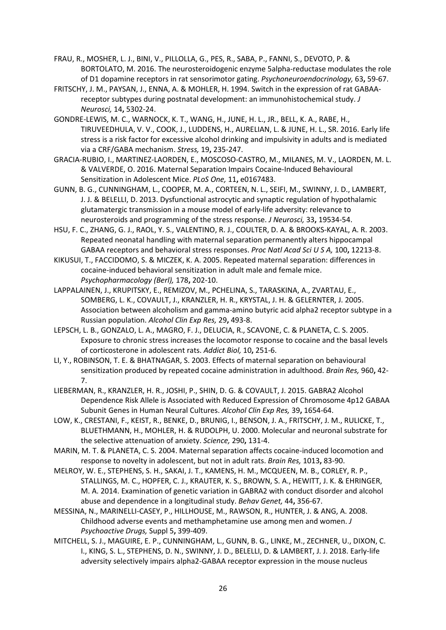- FRAU, R., MOSHER, L. J., BINI, V., PILLOLLA, G., PES, R., SABA, P., FANNI, S., DEVOTO, P. & BORTOLATO, M. 2016. The neurosteroidogenic enzyme 5alpha-reductase modulates the role of D1 dopamine receptors in rat sensorimotor gating. *Psychoneuroendocrinology,* 63**,** 59-67.
- FRITSCHY, J. M., PAYSAN, J., ENNA, A. & MOHLER, H. 1994. Switch in the expression of rat GABAAreceptor subtypes during postnatal development: an immunohistochemical study. *J Neurosci,* 14**,** 5302-24.
- GONDRE-LEWIS, M. C., WARNOCK, K. T., WANG, H., JUNE, H. L., JR., BELL, K. A., RABE, H., TIRUVEEDHULA, V. V., COOK, J., LUDDENS, H., AURELIAN, L. & JUNE, H. L., SR. 2016. Early life stress is a risk factor for excessive alcohol drinking and impulsivity in adults and is mediated via a CRF/GABA mechanism. *Stress,* 19**,** 235-247.
- GRACIA-RUBIO, I., MARTINEZ-LAORDEN, E., MOSCOSO-CASTRO, M., MILANES, M. V., LAORDEN, M. L. & VALVERDE, O. 2016. Maternal Separation Impairs Cocaine-Induced Behavioural Sensitization in Adolescent Mice. *PLoS One,* 11**,** e0167483.
- GUNN, B. G., CUNNINGHAM, L., COOPER, M. A., CORTEEN, N. L., SEIFI, M., SWINNY, J. D., LAMBERT, J. J. & BELELLI, D. 2013. Dysfunctional astrocytic and synaptic regulation of hypothalamic glutamatergic transmission in a mouse model of early-life adversity: relevance to neurosteroids and programming of the stress response. *J Neurosci,* 33**,** 19534-54.
- HSU, F. C., ZHANG, G. J., RAOL, Y. S., VALENTINO, R. J., COULTER, D. A. & BROOKS-KAYAL, A. R. 2003. Repeated neonatal handling with maternal separation permanently alters hippocampal GABAA receptors and behavioral stress responses. *Proc Natl Acad Sci U S A,* 100**,** 12213-8.
- KIKUSUI, T., FACCIDOMO, S. & MICZEK, K. A. 2005. Repeated maternal separation: differences in cocaine-induced behavioral sensitization in adult male and female mice. *Psychopharmacology (Berl),* 178**,** 202-10.
- LAPPALAINEN, J., KRUPITSKY, E., REMIZOV, M., PCHELINA, S., TARASKINA, A., ZVARTAU, E., SOMBERG, L. K., COVAULT, J., KRANZLER, H. R., KRYSTAL, J. H. & GELERNTER, J. 2005. Association between alcoholism and gamma-amino butyric acid alpha2 receptor subtype in a Russian population. *Alcohol Clin Exp Res,* 29**,** 493-8.
- LEPSCH, L. B., GONZALO, L. A., MAGRO, F. J., DELUCIA, R., SCAVONE, C. & PLANETA, C. S. 2005. Exposure to chronic stress increases the locomotor response to cocaine and the basal levels of corticosterone in adolescent rats. *Addict Biol,* 10**,** 251-6.
- LI, Y., ROBINSON, T. E. & BHATNAGAR, S. 2003. Effects of maternal separation on behavioural sensitization produced by repeated cocaine administration in adulthood. *Brain Res,* 960**,** 42- 7.
- LIEBERMAN, R., KRANZLER, H. R., JOSHI, P., SHIN, D. G. & COVAULT, J. 2015. GABRA2 Alcohol Dependence Risk Allele is Associated with Reduced Expression of Chromosome 4p12 GABAA Subunit Genes in Human Neural Cultures. *Alcohol Clin Exp Res,* 39**,** 1654-64.
- LOW, K., CRESTANI, F., KEIST, R., BENKE, D., BRUNIG, I., BENSON, J. A., FRITSCHY, J. M., RULICKE, T., BLUETHMANN, H., MOHLER, H. & RUDOLPH, U. 2000. Molecular and neuronal substrate for the selective attenuation of anxiety. *Science,* 290**,** 131-4.
- MARIN, M. T. & PLANETA, C. S. 2004. Maternal separation affects cocaine-induced locomotion and response to novelty in adolescent, but not in adult rats. *Brain Res,* 1013**,** 83-90.
- MELROY, W. E., STEPHENS, S. H., SAKAI, J. T., KAMENS, H. M., MCQUEEN, M. B., CORLEY, R. P., STALLINGS, M. C., HOPFER, C. J., KRAUTER, K. S., BROWN, S. A., HEWITT, J. K. & EHRINGER, M. A. 2014. Examination of genetic variation in GABRA2 with conduct disorder and alcohol abuse and dependence in a longitudinal study. *Behav Genet,* 44**,** 356-67.
- MESSINA, N., MARINELLI-CASEY, P., HILLHOUSE, M., RAWSON, R., HUNTER, J. & ANG, A. 2008. Childhood adverse events and methamphetamine use among men and women. *J Psychoactive Drugs,* Suppl 5**,** 399-409.
- MITCHELL, S. J., MAGUIRE, E. P., CUNNINGHAM, L., GUNN, B. G., LINKE, M., ZECHNER, U., DIXON, C. I., KING, S. L., STEPHENS, D. N., SWINNY, J. D., BELELLI, D. & LAMBERT, J. J. 2018. Early-life adversity selectively impairs alpha2-GABAA receptor expression in the mouse nucleus